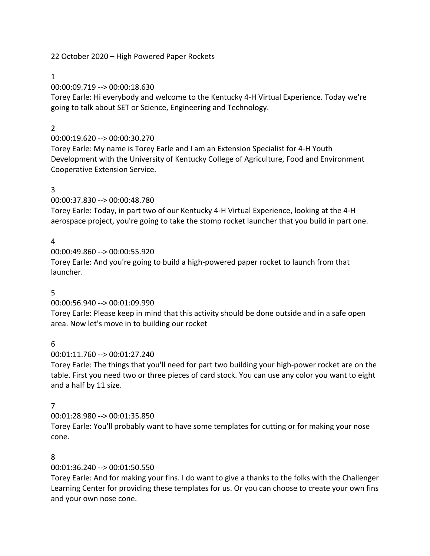22 October 2020 – High Powered Paper Rockets

## 1

00:00:09.719 --> 00:00:18.630

Torey Earle: Hi everybody and welcome to the Kentucky 4-H Virtual Experience. Today we're going to talk about SET or Science, Engineering and Technology.

# 2

# 00:00:19.620 --> 00:00:30.270

Torey Earle: My name is Torey Earle and I am an Extension Specialist for 4-H Youth Development with the University of Kentucky College of Agriculture, Food and Environment Cooperative Extension Service.

# 3

00:00:37.830 --> 00:00:48.780

Torey Earle: Today, in part two of our Kentucky 4-H Virtual Experience, looking at the 4-H aerospace project, you're going to take the stomp rocket launcher that you build in part one.

# 4

00:00:49.860 --> 00:00:55.920 Torey Earle: And you're going to build a high-powered paper rocket to launch from that launcher.

# 5

### 00:00:56.940 --> 00:01:09.990

Torey Earle: Please keep in mind that this activity should be done outside and in a safe open area. Now let's move in to building our rocket

### 6

00:01:11.760 --> 00:01:27.240

Torey Earle: The things that you'll need for part two building your high-power rocket are on the table. First you need two or three pieces of card stock. You can use any color you want to eight and a half by 11 size.

### 7

### 00:01:28.980 --> 00:01:35.850

Torey Earle: You'll probably want to have some templates for cutting or for making your nose cone.

### 8

00:01:36.240 --> 00:01:50.550

Torey Earle: And for making your fins. I do want to give a thanks to the folks with the Challenger Learning Center for providing these templates for us. Or you can choose to create your own fins and your own nose cone.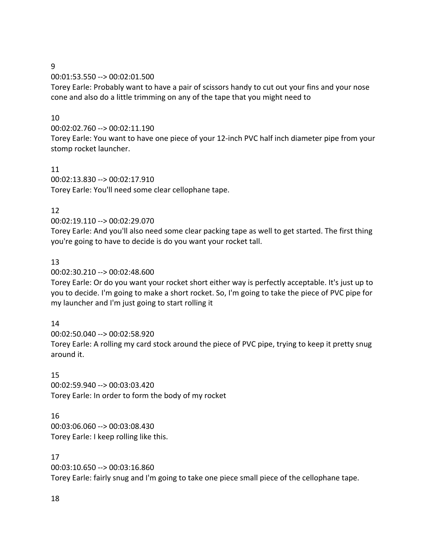#### 9

00:01:53.550 --> 00:02:01.500

Torey Earle: Probably want to have a pair of scissors handy to cut out your fins and your nose cone and also do a little trimming on any of the tape that you might need to

### 10

00:02:02.760 --> 00:02:11.190

Torey Earle: You want to have one piece of your 12-inch PVC half inch diameter pipe from your stomp rocket launcher.

### 11

00:02:13.830 --> 00:02:17.910 Torey Earle: You'll need some clear cellophane tape.

## 12

00:02:19.110 --> 00:02:29.070

Torey Earle: And you'll also need some clear packing tape as well to get started. The first thing you're going to have to decide is do you want your rocket tall.

# 13

00:02:30.210 --> 00:02:48.600

Torey Earle: Or do you want your rocket short either way is perfectly acceptable. It's just up to you to decide. I'm going to make a short rocket. So, I'm going to take the piece of PVC pipe for my launcher and I'm just going to start rolling it

# 14

00:02:50.040 --> 00:02:58.920

Torey Earle: A rolling my card stock around the piece of PVC pipe, trying to keep it pretty snug around it.

### 15

00:02:59.940 --> 00:03:03.420 Torey Earle: In order to form the body of my rocket

# 16

00:03:06.060 --> 00:03:08.430 Torey Earle: I keep rolling like this.

### 17

00:03:10.650 --> 00:03:16.860

Torey Earle: fairly snug and I'm going to take one piece small piece of the cellophane tape.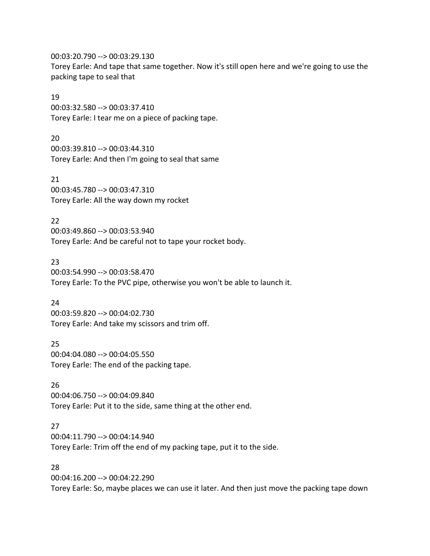00:03:20.790 --> 00:03:29.130 Torey Earle: And tape that same together. Now it's still open here and we're going to use the

#### 19

packing tape to seal that

00:03:32.580 --> 00:03:37.410 Torey Earle: I tear me on a piece of packing tape.

#### 20

00:03:39.810 --> 00:03:44.310 Torey Earle: And then I'm going to seal that same

#### 21

00:03:45.780 --> 00:03:47.310 Torey Earle: All the way down my rocket

#### 22

00:03:49.860 --> 00:03:53.940 Torey Earle: And be careful not to tape your rocket body.

#### 23

00:03:54.990 --> 00:03:58.470 Torey Earle: To the PVC pipe, otherwise you won't be able to launch it.

### 24

00:03:59.820 --> 00:04:02.730 Torey Earle: And take my scissors and trim off.

#### 25

00:04:04.080 --> 00:04:05.550 Torey Earle: The end of the packing tape.

### 26

00:04:06.750 --> 00:04:09.840 Torey Earle: Put it to the side, same thing at the other end.

### 27

00:04:11.790 --> 00:04:14.940 Torey Earle: Trim off the end of my packing tape, put it to the side.

### 28

00:04:16.200 --> 00:04:22.290 Torey Earle: So, maybe places we can use it later. And then just move the packing tape down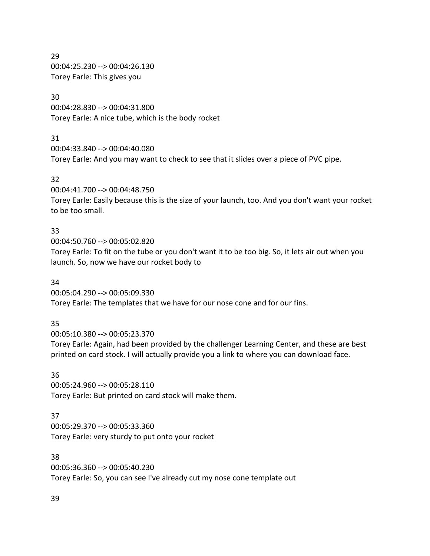29 00:04:25.230 --> 00:04:26.130 Torey Earle: This gives you

#### 30

00:04:28.830 --> 00:04:31.800 Torey Earle: A nice tube, which is the body rocket

### 31

00:04:33.840 --> 00:04:40.080 Torey Earle: And you may want to check to see that it slides over a piece of PVC pipe.

### 32

00:04:41.700 --> 00:04:48.750 Torey Earle: Easily because this is the size of your launch, too. And you don't want your rocket to be too small.

## 33

00:04:50.760 --> 00:05:02.820 Torey Earle: To fit on the tube or you don't want it to be too big. So, it lets air out when you launch. So, now we have our rocket body to

#### 34

00:05:04.290 --> 00:05:09.330 Torey Earle: The templates that we have for our nose cone and for our fins.

### 35

00:05:10.380 --> 00:05:23.370

Torey Earle: Again, had been provided by the challenger Learning Center, and these are best printed on card stock. I will actually provide you a link to where you can download face.

### 36

00:05:24.960 --> 00:05:28.110 Torey Earle: But printed on card stock will make them.

### 37

00:05:29.370 --> 00:05:33.360 Torey Earle: very sturdy to put onto your rocket

#### 38

00:05:36.360 --> 00:05:40.230 Torey Earle: So, you can see I've already cut my nose cone template out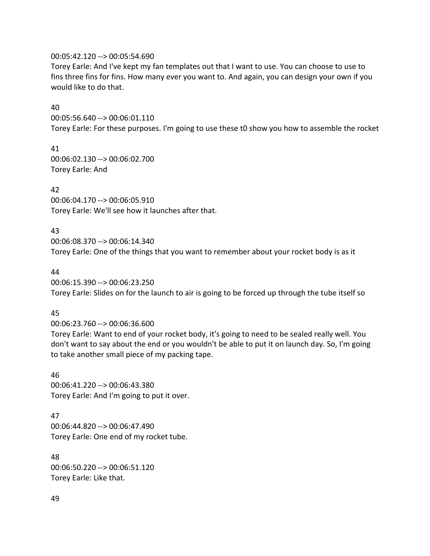#### 00:05:42.120 --> 00:05:54.690

Torey Earle: And I've kept my fan templates out that I want to use. You can choose to use to fins three fins for fins. How many ever you want to. And again, you can design your own if you would like to do that.

#### 40

00:05:56.640 --> 00:06:01.110 Torey Earle: For these purposes. I'm going to use these t0 show you how to assemble the rocket

41 00:06:02.130 --> 00:06:02.700 Torey Earle: And

#### 42

00:06:04.170 --> 00:06:05.910 Torey Earle: We'll see how it launches after that.

#### 43

00:06:08.370 --> 00:06:14.340 Torey Earle: One of the things that you want to remember about your rocket body is as it

#### 44

00:06:15.390 --> 00:06:23.250

Torey Earle: Slides on for the launch to air is going to be forced up through the tube itself so

#### 45

00:06:23.760 --> 00:06:36.600

Torey Earle: Want to end of your rocket body, it's going to need to be sealed really well. You don't want to say about the end or you wouldn't be able to put it on launch day. So, I'm going to take another small piece of my packing tape.

46 00:06:41.220 --> 00:06:43.380 Torey Earle: And I'm going to put it over.

47 00:06:44.820 --> 00:06:47.490 Torey Earle: One end of my rocket tube.

48 00:06:50.220 --> 00:06:51.120 Torey Earle: Like that.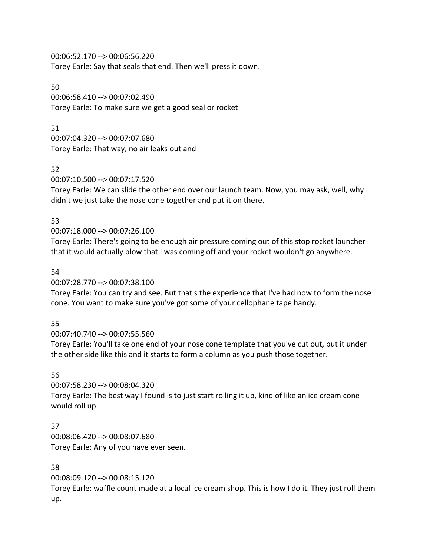00:06:52.170 --> 00:06:56.220 Torey Earle: Say that seals that end. Then we'll press it down.

50 00:06:58.410 --> 00:07:02.490 Torey Earle: To make sure we get a good seal or rocket

51 00:07:04.320 --> 00:07:07.680 Torey Earle: That way, no air leaks out and

52

00:07:10.500 --> 00:07:17.520

Torey Earle: We can slide the other end over our launch team. Now, you may ask, well, why didn't we just take the nose cone together and put it on there.

53

## 00:07:18.000 --> 00:07:26.100

Torey Earle: There's going to be enough air pressure coming out of this stop rocket launcher that it would actually blow that I was coming off and your rocket wouldn't go anywhere.

54

00:07:28.770 --> 00:07:38.100

Torey Earle: You can try and see. But that's the experience that I've had now to form the nose cone. You want to make sure you've got some of your cellophane tape handy.

# 55

00:07:40.740 --> 00:07:55.560

Torey Earle: You'll take one end of your nose cone template that you've cut out, put it under the other side like this and it starts to form a column as you push those together.

# 56

00:07:58.230 --> 00:08:04.320 Torey Earle: The best way I found is to just start rolling it up, kind of like an ice cream cone would roll up

57

00:08:06.420 --> 00:08:07.680 Torey Earle: Any of you have ever seen.

# 58

00:08:09.120 --> 00:08:15.120

Torey Earle: waffle count made at a local ice cream shop. This is how I do it. They just roll them up.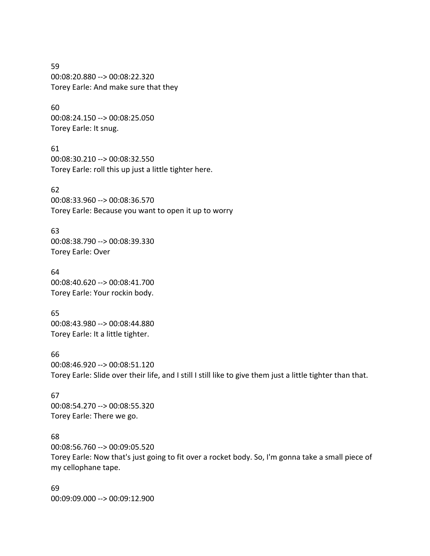59 00:08:20.880 --> 00:08:22.320 Torey Earle: And make sure that they

60 00:08:24.150 --> 00:08:25.050 Torey Earle: It snug.

61 00:08:30.210 --> 00:08:32.550 Torey Earle: roll this up just a little tighter here.

62 00:08:33.960 --> 00:08:36.570 Torey Earle: Because you want to open it up to worry

63 00:08:38.790 --> 00:08:39.330 Torey Earle: Over

64 00:08:40.620 --> 00:08:41.700 Torey Earle: Your rockin body.

65 00:08:43.980 --> 00:08:44.880 Torey Earle: It a little tighter.

66 00:08:46.920 --> 00:08:51.120 Torey Earle: Slide over their life, and I still I still like to give them just a little tighter than that.

67 00:08:54.270 --> 00:08:55.320 Torey Earle: There we go.

#### 68

00:08:56.760 --> 00:09:05.520 Torey Earle: Now that's just going to fit over a rocket body. So, I'm gonna take a small piece of my cellophane tape.

69 00:09:09.000 --> 00:09:12.900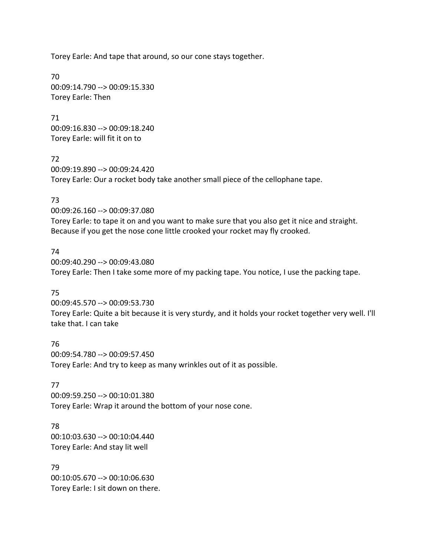Torey Earle: And tape that around, so our cone stays together.

70 00:09:14.790 --> 00:09:15.330 Torey Earle: Then

71 00:09:16.830 --> 00:09:18.240 Torey Earle: will fit it on to

72 00:09:19.890 --> 00:09:24.420 Torey Earle: Our a rocket body take another small piece of the cellophane tape.

#### 73

00:09:26.160 --> 00:09:37.080

Torey Earle: to tape it on and you want to make sure that you also get it nice and straight. Because if you get the nose cone little crooked your rocket may fly crooked.

#### 74

00:09:40.290 --> 00:09:43.080 Torey Earle: Then I take some more of my packing tape. You notice, I use the packing tape.

#### 75

00:09:45.570 --> 00:09:53.730 Torey Earle: Quite a bit because it is very sturdy, and it holds your rocket together very well. I'll take that. I can take

76 00:09:54.780 --> 00:09:57.450 Torey Earle: And try to keep as many wrinkles out of it as possible.

#### 77

00:09:59.250 --> 00:10:01.380 Torey Earle: Wrap it around the bottom of your nose cone.

78

00:10:03.630 --> 00:10:04.440 Torey Earle: And stay lit well

79 00:10:05.670 --> 00:10:06.630 Torey Earle: I sit down on there.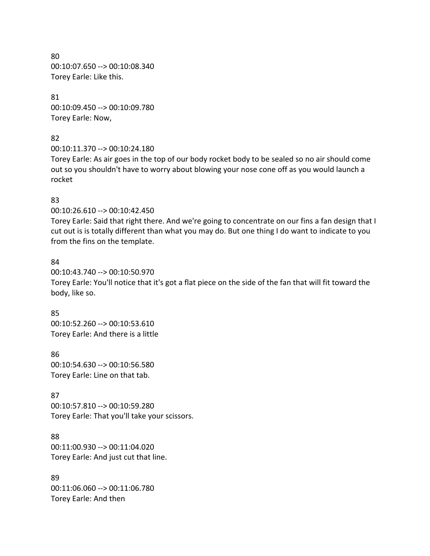80 00:10:07.650 --> 00:10:08.340 Torey Earle: Like this.

81 00:10:09.450 --> 00:10:09.780 Torey Earle: Now,

#### 82

00:10:11.370 --> 00:10:24.180

Torey Earle: As air goes in the top of our body rocket body to be sealed so no air should come out so you shouldn't have to worry about blowing your nose cone off as you would launch a rocket

### 83

00:10:26.610 --> 00:10:42.450

Torey Earle: Said that right there. And we're going to concentrate on our fins a fan design that I cut out is is totally different than what you may do. But one thing I do want to indicate to you from the fins on the template.

### 84

00:10:43.740 --> 00:10:50.970 Torey Earle: You'll notice that it's got a flat piece on the side of the fan that will fit toward the body, like so.

85 00:10:52.260 --> 00:10:53.610 Torey Earle: And there is a little

86 00:10:54.630 --> 00:10:56.580 Torey Earle: Line on that tab.

# 87

00:10:57.810 --> 00:10:59.280 Torey Earle: That you'll take your scissors.

88 00:11:00.930 --> 00:11:04.020 Torey Earle: And just cut that line.

89 00:11:06.060 --> 00:11:06.780 Torey Earle: And then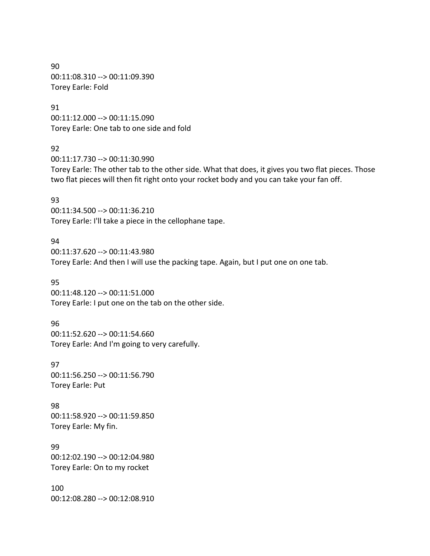90 00:11:08.310 --> 00:11:09.390 Torey Earle: Fold

91 00:11:12.000 --> 00:11:15.090 Torey Earle: One tab to one side and fold

92

00:11:17.730 --> 00:11:30.990

Torey Earle: The other tab to the other side. What that does, it gives you two flat pieces. Those two flat pieces will then fit right onto your rocket body and you can take your fan off.

93 00:11:34.500 --> 00:11:36.210 Torey Earle: I'll take a piece in the cellophane tape.

94 00:11:37.620 --> 00:11:43.980 Torey Earle: And then I will use the packing tape. Again, but I put one on one tab.

95 00:11:48.120 --> 00:11:51.000 Torey Earle: I put one on the tab on the other side.

96 00:11:52.620 --> 00:11:54.660 Torey Earle: And I'm going to very carefully.

97 00:11:56.250 --> 00:11:56.790 Torey Earle: Put

98 00:11:58.920 --> 00:11:59.850 Torey Earle: My fin.

99 00:12:02.190 --> 00:12:04.980 Torey Earle: On to my rocket

100 00:12:08.280 --> 00:12:08.910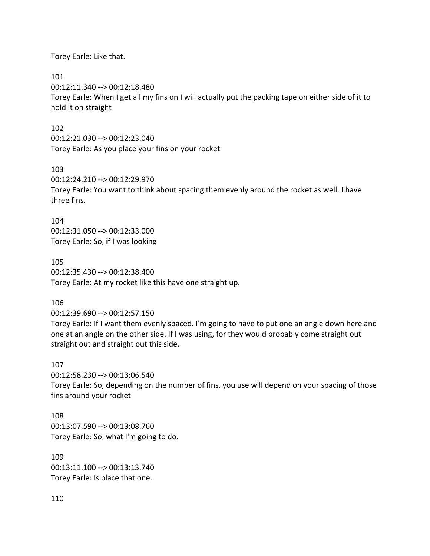Torey Earle: Like that.

101 00:12:11.340 --> 00:12:18.480 Torey Earle: When I get all my fins on I will actually put the packing tape on either side of it to hold it on straight

102 00:12:21.030 --> 00:12:23.040 Torey Earle: As you place your fins on your rocket

103 00:12:24.210 --> 00:12:29.970 Torey Earle: You want to think about spacing them evenly around the rocket as well. I have three fins.

104 00:12:31.050 --> 00:12:33.000 Torey Earle: So, if I was looking

105 00:12:35.430 --> 00:12:38.400 Torey Earle: At my rocket like this have one straight up.

106

00:12:39.690 --> 00:12:57.150

Torey Earle: If I want them evenly spaced. I'm going to have to put one an angle down here and one at an angle on the other side. If I was using, for they would probably come straight out straight out and straight out this side.

107

00:12:58.230 --> 00:13:06.540

Torey Earle: So, depending on the number of fins, you use will depend on your spacing of those fins around your rocket

108 00:13:07.590 --> 00:13:08.760 Torey Earle: So, what I'm going to do.

109 00:13:11.100 --> 00:13:13.740 Torey Earle: Is place that one.

110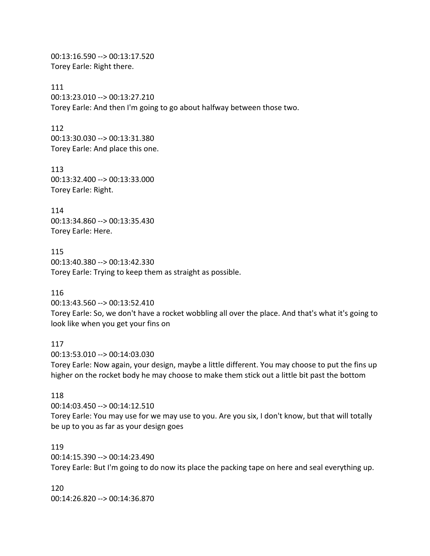00:13:16.590 --> 00:13:17.520 Torey Earle: Right there.

111 00:13:23.010 --> 00:13:27.210 Torey Earle: And then I'm going to go about halfway between those two.

112 00:13:30.030 --> 00:13:31.380 Torey Earle: And place this one.

113 00:13:32.400 --> 00:13:33.000 Torey Earle: Right.

114 00:13:34.860 --> 00:13:35.430 Torey Earle: Here.

115 00:13:40.380 --> 00:13:42.330 Torey Earle: Trying to keep them as straight as possible.

116

00:13:43.560 --> 00:13:52.410 Torey Earle: So, we don't have a rocket wobbling all over the place. And that's what it's going to look like when you get your fins on

117

00:13:53.010 --> 00:14:03.030

Torey Earle: Now again, your design, maybe a little different. You may choose to put the fins up higher on the rocket body he may choose to make them stick out a little bit past the bottom

#### 118

00:14:03.450 --> 00:14:12.510

Torey Earle: You may use for we may use to you. Are you six, I don't know, but that will totally be up to you as far as your design goes

119 00:14:15.390 --> 00:14:23.490 Torey Earle: But I'm going to do now its place the packing tape on here and seal everything up.

120 00:14:26.820 --> 00:14:36.870